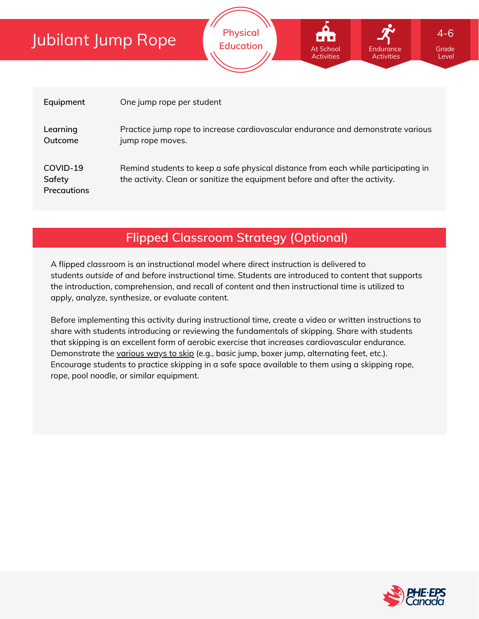| Equipment                                | One jump rope per student                                                                                                                                         |
|------------------------------------------|-------------------------------------------------------------------------------------------------------------------------------------------------------------------|
| Learning<br>Outcome                      | Practice jump rope to increase cardiovascular endurance and demonstrate various<br>jump rope moves.                                                               |
| COVID-19<br>Safety<br><b>Precautions</b> | Remind students to keep a safe physical distance from each while participating in<br>the activity. Clean or sanitize the equipment before and after the activity. |

**Physical Education**

At School Activities Endurano **Activities** 

## **Flipped Classroom Strategy (Optional)**

A flipped classroom is an instructional model where direct instruction is delivered to students *outside of* and *before* instructional time. Students are introduced to content that supports the introduction, comprehension, and recall of content and then instructional time is utilized to apply, analyze, synthesize, or evaluate content.

Before implementing this activity during instructional time, create a video or written instructions to share with students introducing or reviewing the fundamentals of skipping. Share with students that skipping is an excellent form of aerobic exercise that increases cardiovascular endurance. Demonstrate the [various](https://www.youtube.com/watch?v=epf_CkpjIZ4&ab_channel=RopeNflash) ways to skip (e.g., basic jump, boxer jump, alternating feet, etc.). Encourage students to practice skipping in a safe space available to them using a skipping rope, rope, pool noodle, or similar equipment.



Grade Level

4-6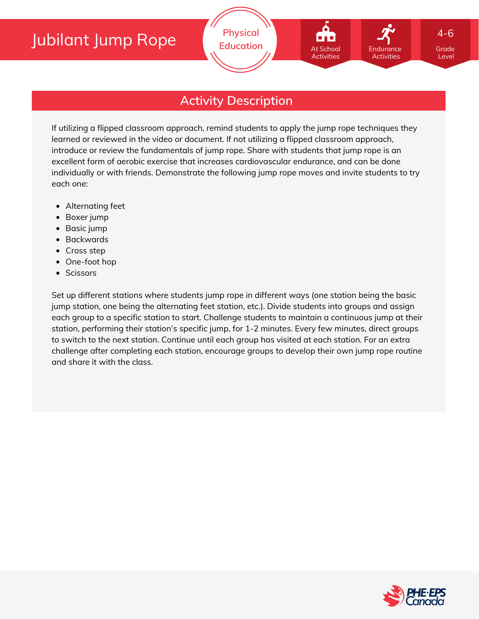

Grade 4-6

Level

## **Activity Description**

If utilizing a flipped classroom approach, remind students to apply the jump rope techniques they learned or reviewed in the video or document. If not utilizing a flipped classroom approach, introduce or review the fundamentals of jump rope. Share with students that jump rope is an excellent form of aerobic exercise that increases cardiovascular endurance, and can be done individually or with friends. Demonstrate the following jump rope moves and invite students to try each one:

- Alternating feet
- Boxer jump
- Basic jump
- Backwards
- Cross step
- One-foot hop
- Scissors

Set up different stations where students jump rope in different ways (one station being the basic jump station, one being the alternating feet station, etc.). Divide students into groups and assign each group to a specific station to start. Challenge students to maintain a continuous jump at their station, performing their station's specific jump, for 1-2 minutes. Every few minutes, direct groups to switch to the next station. Continue until each group has visited at each station. For an extra challenge after completing each station, encourage groups to develop their own jump rope routine and share it with the class.

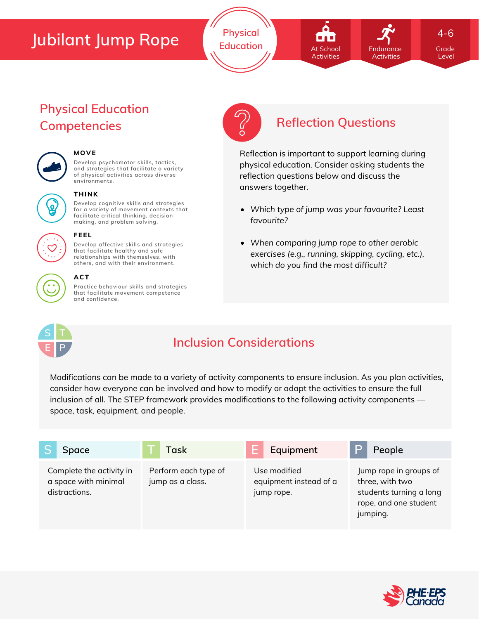**Physical Education Grade Contract At School Contract Contract Contract Contract Contract Contract Contract Contract Contract Contract Contract Contract Contract Contract Contract Contract Contract Contract Contract Contract Co** 

# At School Activities

**Endurance Activities**  4-6

Level

## **Physical Education Competencies Reflection Questions**



#### **MOVE**

**Develop psychomotor skills, tactics, and strategies that facilitate a variety of physical activities across diverse environments.**





#### **THINK**

**Develop cognitive skills and strategies for a variety of movement contexts that facilitate critical thinking, decision making, and problem solving.**



#### **FEEL**

**Develop affective skills and strategies that facilitate healthy and safe relationships with themselves, with others, and with their environment.**

### **ACT**

**Practice behaviour skills and strategies that facilitate movement competence and confidence.**



Reflection is important to support learning during physical education. Consider asking students the reflection questions below and discuss the answers together.

- *Which type of jump was your favourite? Least favourite?*
- *When comparing jump rope to other aerobic exercises (e.g., running, skipping, cycling, etc.), which do you find the most difficult?*



## **Inclusion Considerations**

Modifications can be made to a variety of activity components to ensure inclusion. As you plan activities, consider how everyone can be involved and how to modify or adapt the activities to ensure the full inclusion of all. The STEP framework provides modifications to the following activity components space, task, equipment, and people.

| Space                                                             | Task                                     | Equipment                                            | ⊃<br>People                                                                                               |
|-------------------------------------------------------------------|------------------------------------------|------------------------------------------------------|-----------------------------------------------------------------------------------------------------------|
| Complete the activity in<br>a space with minimal<br>distractions. | Perform each type of<br>jump as a class. | Use modified<br>equipment instead of a<br>jump rope. | Jump rope in groups of<br>three, with two<br>students turning a long<br>rope, and one student<br>jumping. |